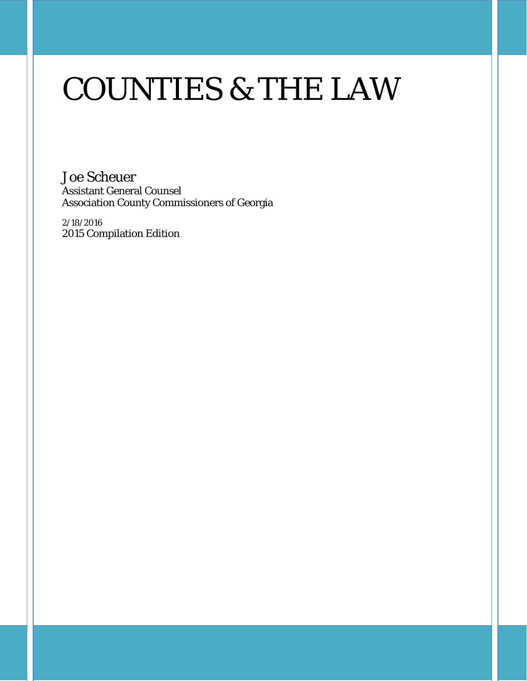# COUNTIES & THE LAW

Joe Scheuer Assistant General Counsel Association County Commissioners of Georgia

2/18/2016 2015 Compilation Edition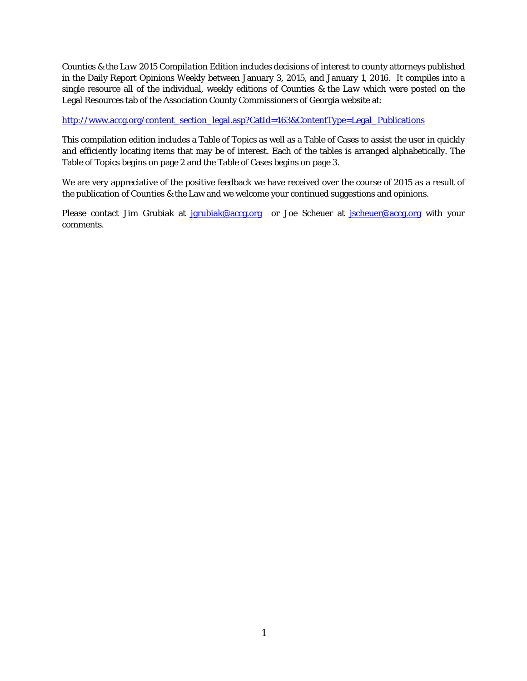*Counties & the Law 2015 Compilation Edition* includes decisions of interest to county attorneys published in the Daily Report Opinions Weekly between January 3, 2015, and January 1, 2016. It compiles into a single resource all of the individual, weekly editions of *Counties & the Law* which were posted on the Legal Resources tab of the Association County Commissioners of Georgia website at:

[http://www.accg.org/content\\_section\\_legal.asp?CatId=463&ContentType=Legal\\_Publications](http://www.accg.org/content_section_legal.asp?CatId=463&ContentType=Legal_Publications)

This compilation edition includes a Table of Topics as well as a Table of Cases to assist the user in quickly and efficiently locating items that may be of interest. Each of the tables is arranged alphabetically. The Table of Topics begins on page 2 and the Table of Cases begins on page 3.

We are very appreciative of the positive feedback we have received over the course of 2015 as a result of the publication of *Counties & the* Law and we welcome your continued suggestions and opinions.

Please contact Jim Grubiak at [jgrubiak@accg.org](mailto:jgrubiak@accg.org) or Joe Scheuer at [jscheuer@accg.org](mailto:jscheuer@accg.org) with your comments.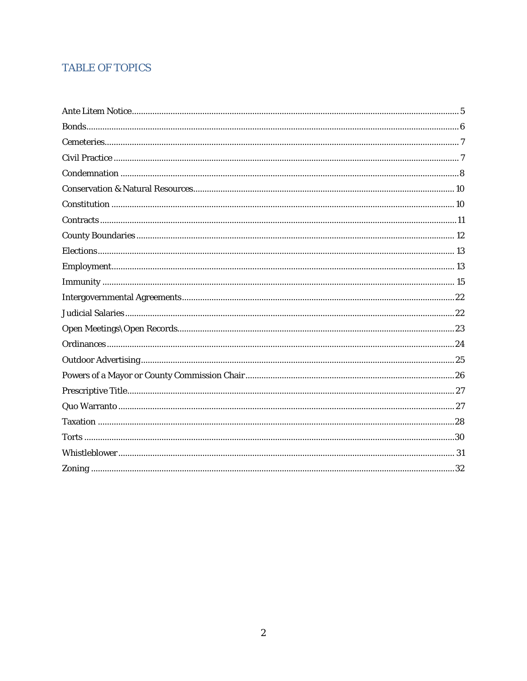#### **TABLE OF TOPICS**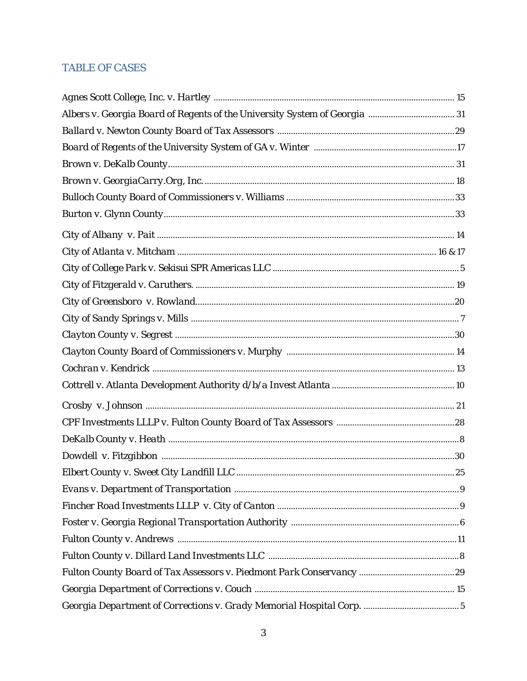#### **TABLE OF CASES**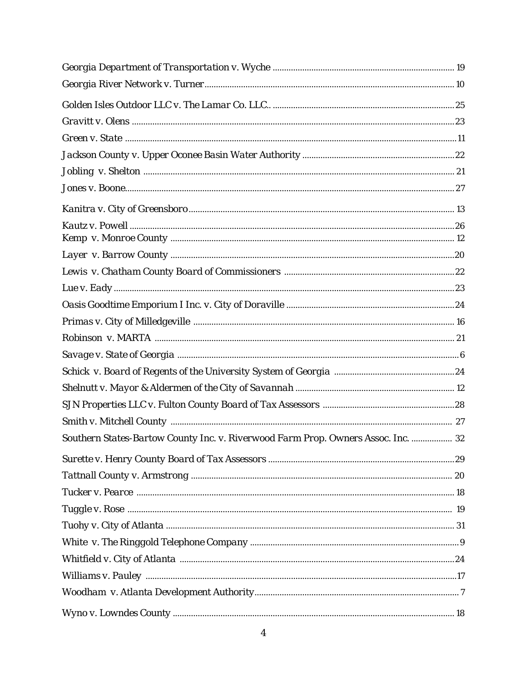| Southern States-Bartow County Inc. v. Riverwood Farm Prop. Owners Assoc. Inc.  32 |  |
|-----------------------------------------------------------------------------------|--|
|                                                                                   |  |
|                                                                                   |  |
|                                                                                   |  |
|                                                                                   |  |
|                                                                                   |  |
|                                                                                   |  |
|                                                                                   |  |
|                                                                                   |  |
|                                                                                   |  |
|                                                                                   |  |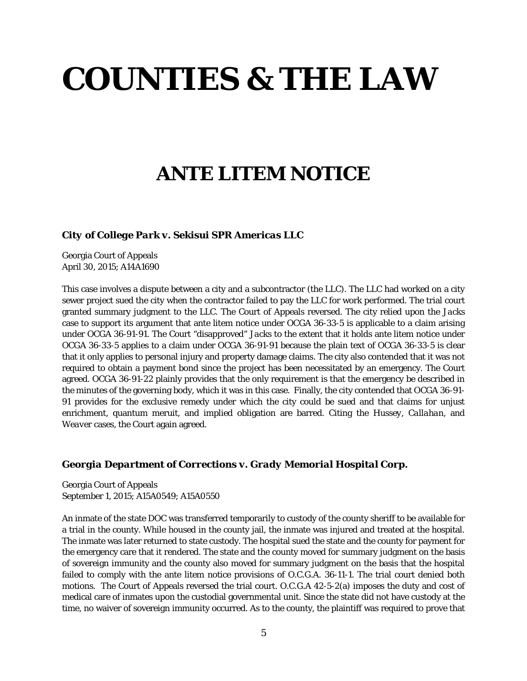# **COUNTIES & THE LAW**

# **ANTE LITEM NOTICE**

*City of College Park v. Sekisui SPR Americas LLC* 

Georgia Court of Appeals April 30, 2015; A14A1690

This case involves a dispute between a city and a subcontractor (the LLC). The LLC had worked on a city sewer project sued the city when the contractor failed to pay the LLC for work performed. The trial court granted summary judgment to the LLC. The Court of Appeals reversed. The city relied upon the *Jacks* case to support its argument that ante litem notice under OCGA 36-33-5 is applicable to a claim arising under OCGA 36-91-91. The Court "disapproved" *Jacks* to the extent that it holds ante litem notice under OCGA 36-33-5 applies to a claim under OCGA 36-91-91 because the plain text of OCGA 36-33-5 is clear that it only applies to personal injury and property damage claims. The city also contended that it was not required to obtain a payment bond since the project has been necessitated by an emergency. The Court agreed. OCGA 36-91-22 plainly provides that the only requirement is that the emergency be described in the minutes of the governing body, which it was in this case. Finally, the city contended that OCGA 36-91- 91 provides for the exclusive remedy under which the city could be sued and that claims for unjust enrichment, quantum meruit, and implied obligation are barred. Citing the *Hussey*, *Callahan*, and *Weaver* cases, the Court again agreed.

#### *Georgia Department of Corrections v. Grady Memorial Hospital Corp.*

Georgia Court of Appeals September 1, 2015; A15A0549; A15A0550

An inmate of the state DOC was transferred temporarily to custody of the county sheriff to be available for a trial in the county. While housed in the county jail, the inmate was injured and treated at the hospital. The inmate was later returned to state custody. The hospital sued the state and the county for payment for the emergency care that it rendered. The state and the county moved for summary judgment on the basis of sovereign immunity and the county also moved for summary judgment on the basis that the hospital failed to comply with the ante litem notice provisions of O.C.G.A. 36-11-1. The trial court denied both motions. The Court of Appeals reversed the trial court. O.C.G.A 42-5-2(a) imposes the duty and cost of medical care of inmates upon the custodial governmental unit. Since the state did not have custody at the time, no waiver of sovereign immunity occurred. As to the county, the plaintiff was required to prove that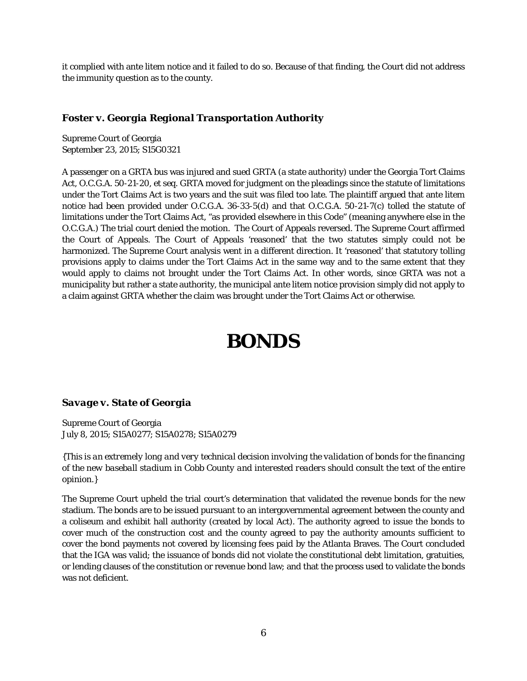it complied with ante litem notice and it failed to do so. Because of that finding, the Court did not address the immunity question as to the county.

#### *Foster v. Georgia Regional Transportation Authority*

Supreme Court of Georgia September 23, 2015; S15G0321

A passenger on a GRTA bus was injured and sued GRTA (a state authority) under the Georgia Tort Claims Act, O.C.G.A. 50-21-20, *et seq*. GRTA moved for judgment on the pleadings since the statute of limitations under the Tort Claims Act is two years and the suit was filed too late. The plaintiff argued that ante litem notice had been provided under O.C.G.A. 36-33-5(d) and that O.C.G.A. 50-21-7(c) tolled the statute of limitations under the Tort Claims Act, "as provided elsewhere in this Code" (meaning anywhere else in the O.C.G.A.) The trial court denied the motion. The Court of Appeals reversed. The Supreme Court affirmed the Court of Appeals. The Court of Appeals 'reasoned' that the two statutes simply could not be harmonized. The Supreme Court analysis went in a different direction. It 'reasoned' that statutory tolling provisions apply to claims under the Tort Claims Act in the same way and to the same extent that they would apply to claims not brought under the Tort Claims Act. In other words, since GRTA was not a municipality but rather a state authority, the municipal ante litem notice provision simply did not apply to a claim against GRTA whether the claim was brought under the Tort Claims Act or otherwise.

# **BONDS**

#### *Savage v. State of Georgia*

Supreme Court of Georgia July 8, 2015; S15A0277; S15A0278; S15A0279

*{This is an extremely long and very technical decision involving the validation of bonds for the financing of the new baseball stadium in Cobb County and interested readers should consult the text of the entire opinion.}*

The Supreme Court upheld the trial court's determination that validated the revenue bonds for the new stadium. The bonds are to be issued pursuant to an intergovernmental agreement between the county and a coliseum and exhibit hall authority (created by local Act). The authority agreed to issue the bonds to cover much of the construction cost and the county agreed to pay the authority amounts sufficient to cover the bond payments not covered by licensing fees paid by the Atlanta Braves. The Court concluded that the IGA was valid; the issuance of bonds did not violate the constitutional debt limitation, gratuities, or lending clauses of the constitution or revenue bond law; and that the process used to validate the bonds was not deficient.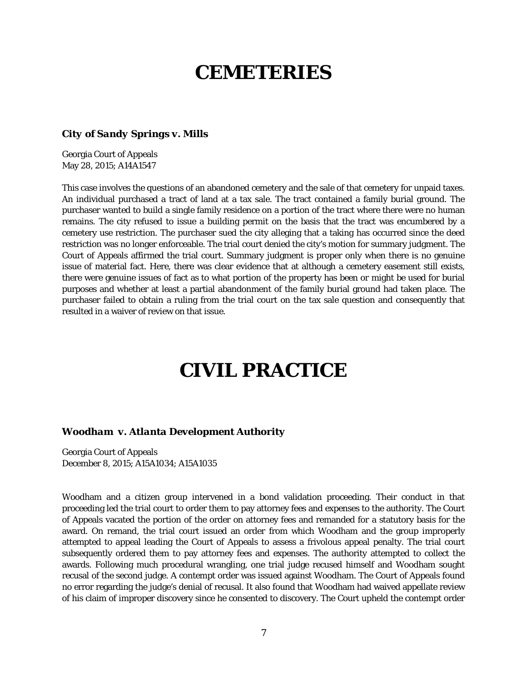### **CEMETERIES**

#### *City of Sandy Springs v. Mills*

Georgia Court of Appeals May 28, 2015; A14A1547

This case involves the questions of an abandoned cemetery and the sale of that cemetery for unpaid taxes. An individual purchased a tract of land at a tax sale. The tract contained a family burial ground. The purchaser wanted to build a single family residence on a portion of the tract where there were no human remains. The city refused to issue a building permit on the basis that the tract was encumbered by a cemetery use restriction. The purchaser sued the city alleging that a taking has occurred since the deed restriction was no longer enforceable. The trial court denied the city's motion for summary judgment. The Court of Appeals affirmed the trial court. Summary judgment is proper only when there is no genuine issue of material fact. Here, there was clear evidence that at although a cemetery easement still exists, there were genuine issues of fact as to what portion of the property has been or might be used for burial purposes and whether at least a partial abandonment of the family burial ground had taken place. The purchaser failed to obtain a ruling from the trial court on the tax sale question and consequently that resulted in a waiver of review on that issue.

### **CIVIL PRACTICE**

#### *Woodham v. Atlanta Development Authority*

Georgia Court of Appeals December 8, 2015; A15A1034; A15A1035

Woodham and a citizen group intervened in a bond validation proceeding. Their conduct in that proceeding led the trial court to order them to pay attorney fees and expenses to the authority. The Court of Appeals vacated the portion of the order on attorney fees and remanded for a statutory basis for the award. On remand, the trial court issued an order from which Woodham and the group improperly attempted to appeal leading the Court of Appeals to assess a frivolous appeal penalty. The trial court subsequently ordered them to pay attorney fees and expenses. The authority attempted to collect the awards. Following much procedural wrangling, one trial judge recused himself and Woodham sought recusal of the second judge. A contempt order was issued against Woodham. The Court of Appeals found no error regarding the judge's denial of recusal. It also found that Woodham had waived appellate review of his claim of improper discovery since he consented to discovery. The Court upheld the contempt order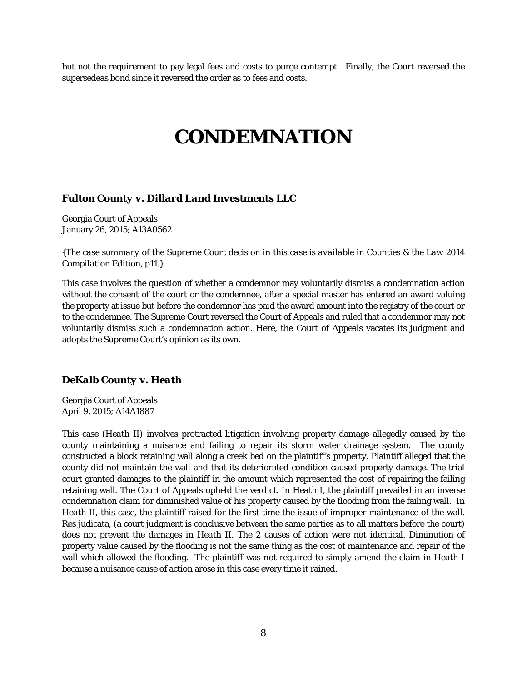but not the requirement to pay legal fees and costs to purge contempt. Finally, the Court reversed the supersedeas bond since it reversed the order as to fees and costs.

### **CONDEMNATION**

#### *Fulton County v. Dillard Land Investments LLC*

Georgia Court of Appeals January 26, 2015; A13A0562

*{The case summary of the Supreme Court decision in this case is available in Counties & the Law 2014 Compilation Edition, p11.}*

This case involves the question of whether a condemnor may voluntarily dismiss a condemnation action without the consent of the court or the condemnee, after a special master has entered an award valuing the property at issue but before the condemnor has paid the award amount into the registry of the court or to the condemnee. The Supreme Court reversed the Court of Appeals and ruled that a condemnor may not voluntarily dismiss such a condemnation action. Here, the Court of Appeals vacates its judgment and adopts the Supreme Court's opinion as its own.

#### *DeKalb County v. Heath*

Georgia Court of Appeals April 9, 2015; A14A1887

This case (*Heath* II) involves protracted litigation involving property damage allegedly caused by the county maintaining a nuisance and failing to repair its storm water drainage system. The county constructed a block retaining wall along a creek bed on the plaintiff's property. Plaintiff alleged that the county did not maintain the wall and that its deteriorated condition caused property damage. The trial court granted damages to the plaintiff in the amount which represented the cost of repairing the failing retaining wall. The Court of Appeals upheld the verdict. In *Heath* I, the plaintiff prevailed in an inverse condemnation claim for diminished value of his property caused by the flooding from the failing wall. In *Heath* II, this case, the plaintiff raised for the first time the issue of improper maintenance of the wall. Res judicata, (a court judgment is conclusive between the same parties as to all matters before the court) does not prevent the damages in *Heath* II. The 2 causes of action were not identical. Diminution of property value caused by the flooding is not the same thing as the cost of maintenance and repair of the wall which allowed the flooding. The plaintiff was not required to simply amend the claim in *Heath* I because a nuisance cause of action arose in this case every time it rained.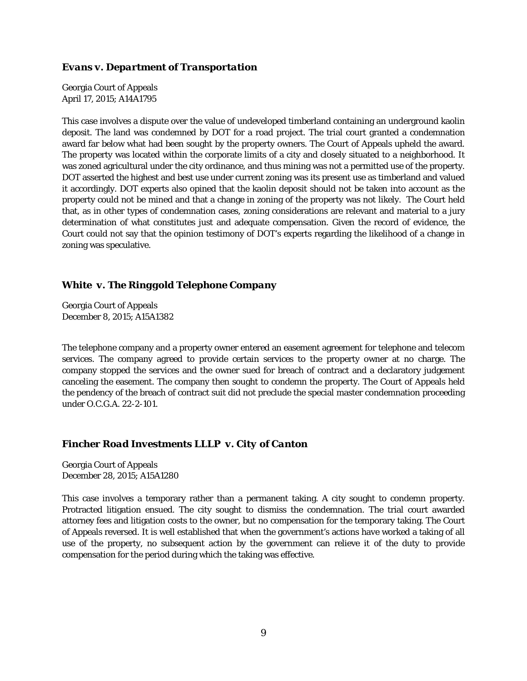#### *Evans v. Department of Transportation*

Georgia Court of Appeals April 17, 2015; A14A1795

This case involves a dispute over the value of undeveloped timberland containing an underground kaolin deposit. The land was condemned by DOT for a road project. The trial court granted a condemnation award far below what had been sought by the property owners. The Court of Appeals upheld the award. The property was located within the corporate limits of a city and closely situated to a neighborhood. It was zoned agricultural under the city ordinance, and thus mining was not a permitted use of the property. DOT asserted the highest and best use under current zoning was its present use as timberland and valued it accordingly. DOT experts also opined that the kaolin deposit should not be taken into account as the property could not be mined and that a change in zoning of the property was not likely. The Court held that, as in other types of condemnation cases, zoning considerations are relevant and material to a jury determination of what constitutes just and adequate compensation. Given the record of evidence, the Court could not say that the opinion testimony of DOT's experts regarding the likelihood of a change in zoning was speculative.

#### *White v. The Ringgold Telephone Company*

Georgia Court of Appeals December 8, 2015; A15A1382

The telephone company and a property owner entered an easement agreement for telephone and telecom services. The company agreed to provide certain services to the property owner at no charge. The company stopped the services and the owner sued for breach of contract and a declaratory judgement canceling the easement. The company then sought to condemn the property. The Court of Appeals held the pendency of the breach of contract suit did not preclude the special master condemnation proceeding under O.C.G.A. 22-2-101.

#### *Fincher Road Investments LLLP v. City of Canton*

Georgia Court of Appeals December 28, 2015; A15A1280

This case involves a temporary rather than a permanent taking. A city sought to condemn property. Protracted litigation ensued. The city sought to dismiss the condemnation. The trial court awarded attorney fees and litigation costs to the owner, but no compensation for the temporary taking. The Court of Appeals reversed. It is well established that when the government's actions have worked a taking of all use of the property, no subsequent action by the government can relieve it of the duty to provide compensation for the period during which the taking was effective.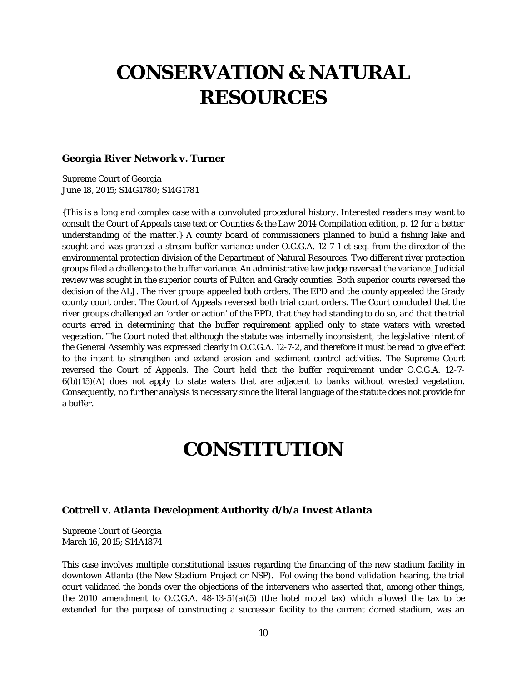# **CONSERVATION & NATURAL RESOURCES**

#### *Georgia River Network v. Turner*

Supreme Court of Georgia June 18, 2015; S14G1780; S14G1781

*{This is a long and complex case with a convoluted procedural history. Interested readers may want to consult the Court of Appeals case text or Counties & the Law 2014 Compilation edition, p. 12 for a better understanding of the matter.}* A county board of commissioners planned to build a fishing lake and sought and was granted a stream buffer variance under O.C.G.A. 12-7-1 et seq. from the director of the environmental protection division of the Department of Natural Resources. Two different river protection groups filed a challenge to the buffer variance. An administrative law judge reversed the variance. Judicial review was sought in the superior courts of Fulton and Grady counties. Both superior courts reversed the decision of the ALJ. The river groups appealed both orders. The EPD and the county appealed the Grady county court order. The Court of Appeals reversed both trial court orders. The Court concluded that the river groups challenged an 'order or action' of the EPD, that they had standing to do so, and that the trial courts erred in determining that the buffer requirement applied only to state waters with wrested vegetation. The Court noted that although the statute was internally inconsistent, the legislative intent of the General Assembly was expressed clearly in O.C.G.A. 12-7-2, and therefore it must be read to give effect to the intent to strengthen and extend erosion and sediment control activities. The Supreme Court reversed the Court of Appeals. The Court held that the buffer requirement under O.C.G.A. 12-7- 6(b)(15)(A) does not apply to state waters that are adjacent to banks without wrested vegetation. Consequently, no further analysis is necessary since the literal language of the statute does not provide for a buffer.

### **CONSTITUTION**

#### *Cottrell v. Atlanta Development Authority d/b/a Invest Atlanta*

Supreme Court of Georgia March 16, 2015; S14A1874

This case involves multiple constitutional issues regarding the financing of the new stadium facility in downtown Atlanta (the New Stadium Project or NSP). Following the bond validation hearing, the trial court validated the bonds over the objections of the interveners who asserted that, among other things, the 2010 amendment to O.C.G.A. 48-13-51(a)(5) (the hotel motel tax) which allowed the tax to be extended for the purpose of constructing a successor facility to the current domed stadium, was an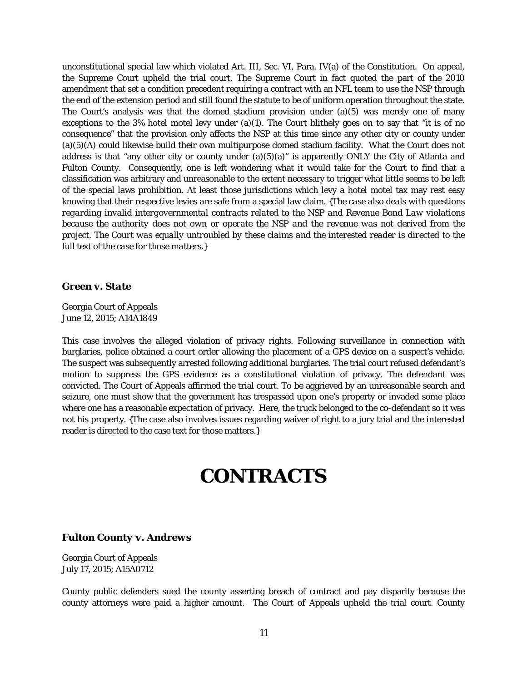unconstitutional special law which violated Art. III, Sec. VI, Para. IV(a) of the Constitution. On appeal, the Supreme Court upheld the trial court. The Supreme Court in fact quoted the part of the 2010 amendment that set a condition precedent requiring a contract with an NFL team to use the NSP through the end of the extension period and still found the statute to be of uniform operation throughout the state. The Court's analysis was that the domed stadium provision under  $(a)(5)$  was merely one of many exceptions to the 3% hotel motel levy under (a)(1). The Court blithely goes on to say that "it is of no consequence" that the provision only affects the NSP at this time since any other city or county under (a)(5)(A) could likewise build their own multipurpose domed stadium facility. What the Court does not address is that "any other city or county under  $(a)(5)(a)$ " is apparently ONLY the City of Atlanta and Fulton County. Consequently, one is left wondering what it would take for the Court to find that a classification was arbitrary and unreasonable to the extent necessary to trigger what little seems to be left of the special laws prohibition. At least those jurisdictions which levy a hotel motel tax may rest easy knowing that their respective levies are safe from a special law claim. *{The case also deals with questions regarding invalid intergovernmental contracts related to the NSP and Revenue Bond Law violations because the authority does not own or operate the NSP and the revenue was not derived from the project. The Court was equally untroubled by these claims and the interested reader is directed to the full text of the case for those matters.}*

#### *Green v. State*

Georgia Court of Appeals June 12, 2015; A14A1849

This case involves the alleged violation of privacy rights. Following surveillance in connection with burglaries, police obtained a court order allowing the placement of a GPS device on a suspect's vehicle. The suspect was subsequently arrested following additional burglaries. The trial court refused defendant's motion to suppress the GPS evidence as a constitutional violation of privacy. The defendant was convicted. The Court of Appeals affirmed the trial court. To be aggrieved by an unreasonable search and seizure, one must show that the government has trespassed upon one's property or invaded some place where one has a reasonable expectation of privacy. Here, the truck belonged to the co-defendant so it was not his property. {The case also involves issues regarding waiver of right to a jury trial and the interested reader is directed to the case text for those matters.}

### **CONTRACTS**

#### *Fulton County v. Andrews*

Georgia Court of Appeals July 17, 2015; A15A0712

County public defenders sued the county asserting breach of contract and pay disparity because the county attorneys were paid a higher amount. The Court of Appeals upheld the trial court. County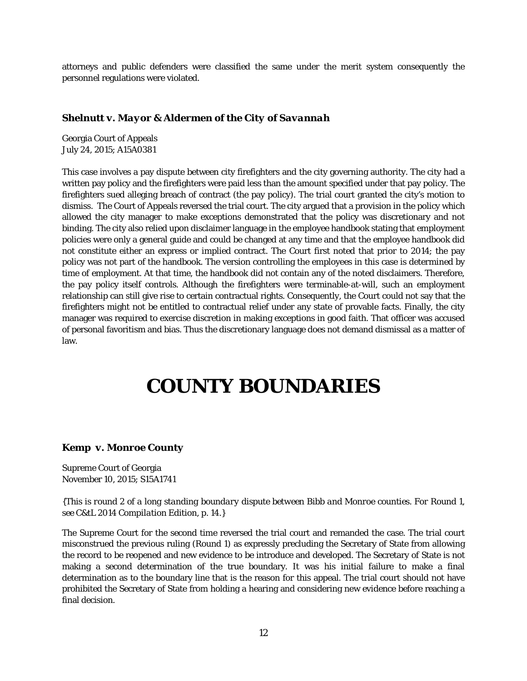attorneys and public defenders were classified the same under the merit system consequently the personnel regulations were violated.

#### *Shelnutt v. Mayor & Aldermen of the City of Savannah*

Georgia Court of Appeals July 24, 2015; A15A0381

This case involves a pay dispute between city firefighters and the city governing authority. The city had a written pay policy and the firefighters were paid less than the amount specified under that pay policy. The firefighters sued alleging breach of contract (the pay policy). The trial court granted the city's motion to dismiss. The Court of Appeals reversed the trial court. The city argued that a provision in the policy which allowed the city manager to make exceptions demonstrated that the policy was discretionary and not binding. The city also relied upon disclaimer language in the employee handbook stating that employment policies were only a general guide and could be changed at any time and that the employee handbook did not constitute either an express or implied contract. The Court first noted that prior to 2014; the pay policy was not part of the handbook. The version controlling the employees in this case is determined by time of employment. At that time, the handbook did not contain any of the noted disclaimers. Therefore, the pay policy itself controls. Although the firefighters were terminable-at-will, such an employment relationship can still give rise to certain contractual rights. Consequently, the Court could not say that the firefighters might not be entitled to contractual relief under any state of provable facts. Finally, the city manager was required to exercise discretion in making exceptions in good faith. That officer was accused of personal favoritism and bias. Thus the discretionary language does not demand dismissal as a matter of law.

# **COUNTY BOUNDARIES**

#### *Kemp v. Monroe County*

Supreme Court of Georgia November 10, 2015; S15A1741

*{This is round 2 of a long standing boundary dispute between Bibb and Monroe counties. For Round 1, see C&tL 2014 Compilation Edition, p. 14.}*

The Supreme Court for the second time reversed the trial court and remanded the case. The trial court misconstrued the previous ruling (Round 1) as expressly precluding the Secretary of State from allowing the record to be reopened and new evidence to be introduce and developed. The Secretary of State is not making a second determination of the true boundary. It was his initial failure to make a final determination as to the boundary line that is the reason for this appeal. The trial court should not have prohibited the Secretary of State from holding a hearing and considering new evidence before reaching a final decision.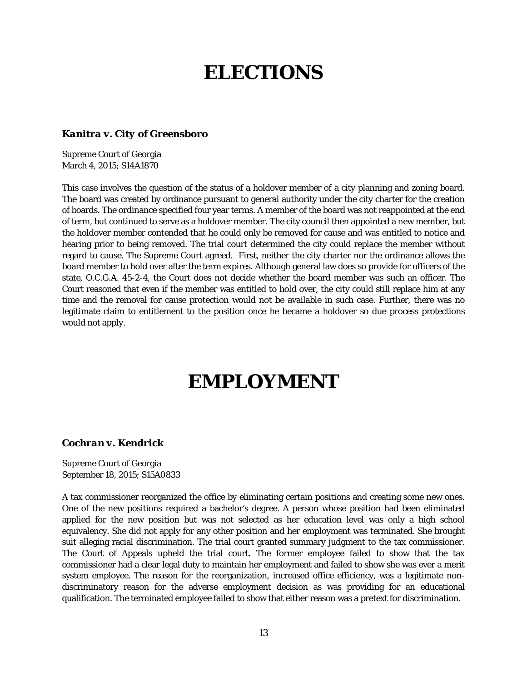# **ELECTIONS**

#### *Kanitra v. City of Greensboro*

Supreme Court of Georgia March 4, 2015; S14A1870

This case involves the question of the status of a holdover member of a city planning and zoning board. The board was created by ordinance pursuant to general authority under the city charter for the creation of boards. The ordinance specified four year terms. A member of the board was not reappointed at the end of term, but continued to serve as a holdover member. The city council then appointed a new member, but the holdover member contended that he could only be removed for cause and was entitled to notice and hearing prior to being removed. The trial court determined the city could replace the member without regard to cause. The Supreme Court agreed. First, neither the city charter nor the ordinance allows the board member to hold over after the term expires. Although general law does so provide for officers of the state, O.C.G.A. 45-2-4, the Court does not decide whether the board member was such an officer. The Court reasoned that even if the member was entitled to hold over, the city could still replace him at any time and the removal for cause protection would not be available in such case. Further, there was no legitimate claim to entitlement to the position once he became a holdover so due process protections would not apply.

# **EMPLOYMENT**

#### *Cochran v. Kendrick*

Supreme Court of Georgia September 18, 2015; S15A0833

A tax commissioner reorganized the office by eliminating certain positions and creating some new ones. One of the new positions required a bachelor's degree. A person whose position had been eliminated applied for the new position but was not selected as her education level was only a high school equivalency. She did not apply for any other position and her employment was terminated. She brought suit alleging racial discrimination. The trial court granted summary judgment to the tax commissioner. The Court of Appeals upheld the trial court. The former employee failed to show that the tax commissioner had a clear legal duty to maintain her employment and failed to show she was ever a merit system employee. The reason for the reorganization, increased office efficiency, was a legitimate nondiscriminatory reason for the adverse employment decision as was providing for an educational qualification. The terminated employee failed to show that either reason was a pretext for discrimination.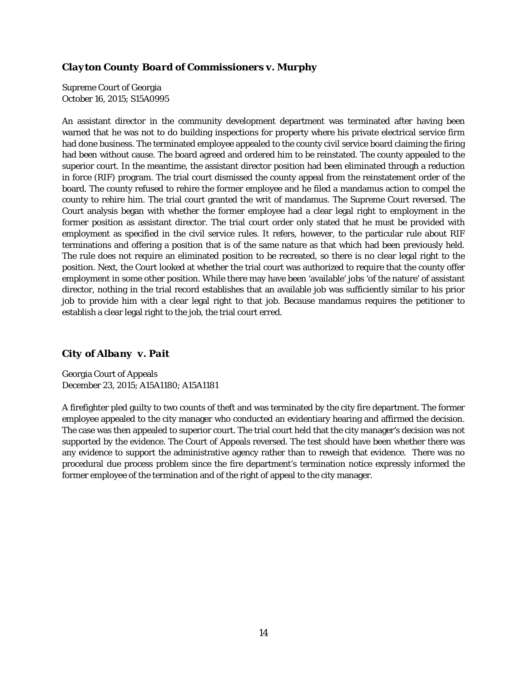#### *Clayton County Board of Commissioners v. Murphy*

Supreme Court of Georgia October 16, 2015; S15A0995

An assistant director in the community development department was terminated after having been warned that he was not to do building inspections for property where his private electrical service firm had done business. The terminated employee appealed to the county civil service board claiming the firing had been without cause. The board agreed and ordered him to be reinstated. The county appealed to the superior court. In the meantime, the assistant director position had been eliminated through a reduction in force (RIF) program. The trial court dismissed the county appeal from the reinstatement order of the board. The county refused to rehire the former employee and he filed a mandamus action to compel the county to rehire him. The trial court granted the writ of mandamus. The Supreme Court reversed. The Court analysis began with whether the former employee had a clear legal right to employment in the former position as assistant director. The trial court order only stated that he must be provided with employment as specified in the civil service rules. It refers, however, to the particular rule about RIF terminations and offering a position that is of the same nature as that which had been previously held. The rule does not require an eliminated position to be recreated, so there is no clear legal right to the position. Next, the Court looked at whether the trial court was authorized to require that the county offer employment in some other position. While there may have been 'available' jobs 'of the nature' of assistant director, nothing in the trial record establishes that an available job was sufficiently similar to his prior job to provide him with a clear legal right to that job. Because mandamus requires the petitioner to establish a clear legal right to the job, the trial court erred.

#### *City of Albany v. Pait*

Georgia Court of Appeals December 23, 2015; A15A1180; A15A1181

A firefighter pled guilty to two counts of theft and was terminated by the city fire department. The former employee appealed to the city manager who conducted an evidentiary hearing and affirmed the decision. The case was then appealed to superior court. The trial court held that the city manager's decision was not supported by the evidence. The Court of Appeals reversed. The test should have been whether there was any evidence to support the administrative agency rather than to reweigh that evidence. There was no procedural due process problem since the fire department's termination notice expressly informed the former employee of the termination and of the right of appeal to the city manager.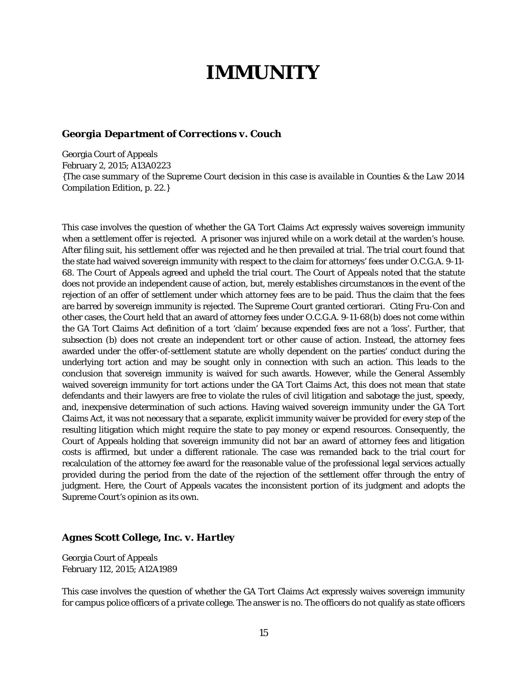### **IMMUNITY**

#### *Georgia Department of Corrections v. Couch*

Georgia Court of Appeals February 2, 2015; A13A0223 *{The case summary of the Supreme Court decision in this case is available in Counties & the Law 2014 Compilation Edition, p. 22.}*

This case involves the question of whether the GA Tort Claims Act expressly waives sovereign immunity when a settlement offer is rejected. A prisoner was injured while on a work detail at the warden's house. After filing suit, his settlement offer was rejected and he then prevailed at trial. The trial court found that the state had waived sovereign immunity with respect to the claim for attorneys' fees under O.C.G.A. 9-11- 68. The Court of Appeals agreed and upheld the trial court. The Court of Appeals noted that the statute does not provide an independent cause of action, but, merely establishes circumstances in the event of the rejection of an offer of settlement under which attorney fees are to be paid. Thus the claim that the fees are barred by sovereign immunity is rejected. The Supreme Court granted certiorari. Citing *Fru-Con* and other cases, the Court held that an award of attorney fees under O.C.G.A. 9-11-68(b) does not come within the GA Tort Claims Act definition of a tort 'claim' because expended fees are not a 'loss'. Further, that subsection (b) does not create an independent tort or other cause of action. Instead, the attorney fees awarded under the offer-of-settlement statute are wholly dependent on the parties' conduct during the underlying tort action and may be sought only in connection with such an action. This leads to the conclusion that sovereign immunity is waived for such awards. However, while the General Assembly waived sovereign immunity for tort actions under the GA Tort Claims Act, this does not mean that state defendants and their lawyers are free to violate the rules of civil litigation and sabotage the just, speedy, and, inexpensive determination of such actions. Having waived sovereign immunity under the GA Tort Claims Act, it was not necessary that a separate, explicit immunity waiver be provided for every step of the resulting litigation which might require the state to pay money or expend resources. Consequently, the Court of Appeals holding that sovereign immunity did not bar an award of attorney fees and litigation costs is affirmed, but under a different rationale. The case was remanded back to the trial court for recalculation of the attorney fee award for the reasonable value of the professional legal services actually provided during the period from the date of the rejection of the settlement offer through the entry of judgment. Here, the Court of Appeals vacates the inconsistent portion of its judgment and adopts the Supreme Court's opinion as its own.

#### *Agnes Scott College, Inc. v. Hartley*

Georgia Court of Appeals February 112, 2015; A12A1989

This case involves the question of whether the GA Tort Claims Act expressly waives sovereign immunity for campus police officers of a private college. The answer is no. The officers do not qualify as state officers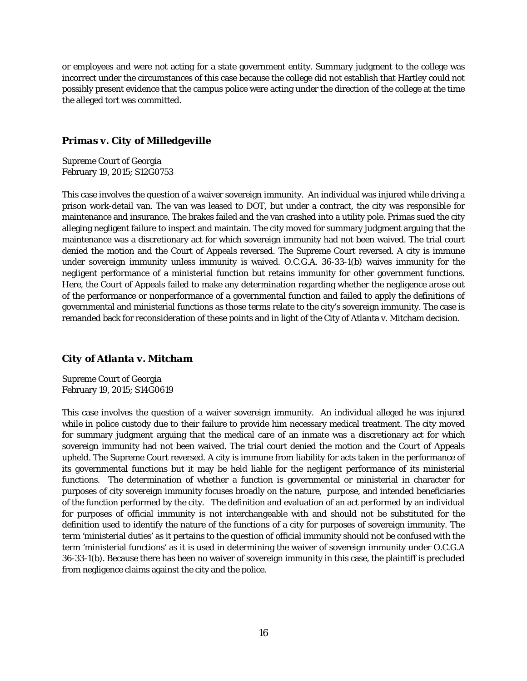or employees and were not acting for a state government entity. Summary judgment to the college was incorrect under the circumstances of this case because the college did not establish that Hartley could not possibly present evidence that the campus police were acting under the direction of the college at the time the alleged tort was committed.

#### *Primas v. City of Milledgeville*

Supreme Court of Georgia February 19, 2015; S12G0753

This case involves the question of a waiver sovereign immunity. An individual was injured while driving a prison work-detail van. The van was leased to DOT, but under a contract, the city was responsible for maintenance and insurance. The brakes failed and the van crashed into a utility pole. Primas sued the city alleging negligent failure to inspect and maintain. The city moved for summary judgment arguing that the maintenance was a discretionary act for which sovereign immunity had not been waived. The trial court denied the motion and the Court of Appeals reversed. The Supreme Court reversed. A city is immune under sovereign immunity unless immunity is waived. O.C.G.A. 36-33-1(b) waives immunity for the negligent performance of a ministerial function but retains immunity for other government functions. Here, the Court of Appeals failed to make any determination regarding whether the negligence arose out of the performance or nonperformance of a governmental function and failed to apply the definitions of governmental and ministerial functions as those terms relate to the city's sovereign immunity. The case is remanded back for reconsideration of these points and in light of the City of Atlanta v. Mitcham decision.

#### *City of Atlanta v. Mitcham*

Supreme Court of Georgia February 19, 2015; S14G0619

This case involves the question of a waiver sovereign immunity. An individual alleged he was injured while in police custody due to their failure to provide him necessary medical treatment. The city moved for summary judgment arguing that the medical care of an inmate was a discretionary act for which sovereign immunity had not been waived. The trial court denied the motion and the Court of Appeals upheld. The Supreme Court reversed. A city is immune from liability for acts taken in the performance of its governmental functions but it may be held liable for the negligent performance of its ministerial functions. The determination of whether a function is governmental or ministerial in character for purposes of city sovereign immunity focuses broadly on the nature, purpose, and intended beneficiaries of the function performed by the city. The definition and evaluation of an act performed by an individual for purposes of official immunity is not interchangeable with and should not be substituted for the definition used to identify the nature of the functions of a city for purposes of sovereign immunity. The term 'ministerial duties' as it pertains to the question of official immunity should not be confused with the term 'ministerial functions' as it is used in determining the waiver of sovereign immunity under O.C.G.A 36-33-1(b). Because there has been no waiver of sovereign immunity in this case, the plaintiff is precluded from negligence claims against the city and the police.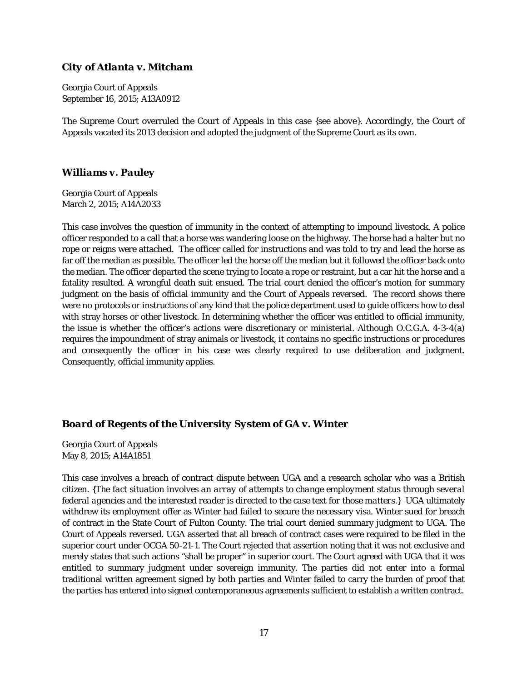#### *City of Atlanta v. Mitcham*

Georgia Court of Appeals September 16, 2015; A13A0912

The Supreme Court overruled the Court of Appeals in this case *{see above}*. Accordingly, the Court of Appeals vacated its 2013 decision and adopted the judgment of the Supreme Court as its own.

#### *Williams v. Pauley*

Georgia Court of Appeals March 2, 2015; A14A2033

This case involves the question of immunity in the context of attempting to impound livestock. A police officer responded to a call that a horse was wandering loose on the highway. The horse had a halter but no rope or reigns were attached. The officer called for instructions and was told to try and lead the horse as far off the median as possible. The officer led the horse off the median but it followed the officer back onto the median. The officer departed the scene trying to locate a rope or restraint, but a car hit the horse and a fatality resulted. A wrongful death suit ensued. The trial court denied the officer's motion for summary judgment on the basis of official immunity and the Court of Appeals reversed. The record shows there were no protocols or instructions of any kind that the police department used to guide officers how to deal with stray horses or other livestock. In determining whether the officer was entitled to official immunity, the issue is whether the officer's actions were discretionary or ministerial. Although O.C.G.A. 4-3-4(a) requires the impoundment of stray animals or livestock, it contains no specific instructions or procedures and consequently the officer in his case was clearly required to use deliberation and judgment. Consequently, official immunity applies.

#### *Board of Regents of the University System of GA v. Winter*

Georgia Court of Appeals May 8, 2015; A14A1851

This case involves a breach of contract dispute between UGA and a research scholar who was a British citizen. *{The fact situation involves an array of attempts to change employment status through several federal agencies and the interested reader is directed to the case text for those matters.}* UGA ultimately withdrew its employment offer as Winter had failed to secure the necessary visa. Winter sued for breach of contract in the State Court of Fulton County. The trial court denied summary judgment to UGA. The Court of Appeals reversed. UGA asserted that all breach of contract cases were required to be filed in the superior court under OCGA 50-21-1. The Court rejected that assertion noting that it was not exclusive and merely states that such actions "shall be proper" in superior court. The Court agreed with UGA that it was entitled to summary judgment under sovereign immunity. The parties did not enter into a formal traditional written agreement signed by both parties and Winter failed to carry the burden of proof that the parties has entered into signed contemporaneous agreements sufficient to establish a written contract.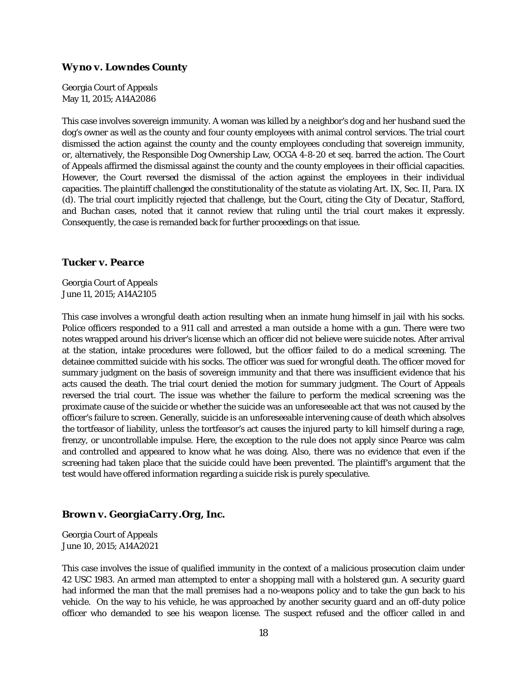#### *Wyno v. Lowndes County*

Georgia Court of Appeals May 11, 2015; A14A2086

This case involves sovereign immunity. A woman was killed by a neighbor's dog and her husband sued the dog's owner as well as the county and four county employees with animal control services. The trial court dismissed the action against the county and the county employees concluding that sovereign immunity, or, alternatively, the Responsible Dog Ownership Law, OCGA 4-8-20 et seq. barred the action. The Court of Appeals affirmed the dismissal against the county and the county employees in their official capacities. However, the Court reversed the dismissal of the action against the employees in their individual capacities. The plaintiff challenged the constitutionality of the statute as violating Art. IX, Sec. II, Para. IX (d). The trial court implicitly rejected that challenge, but the Court, citing the *City of Decatur*, *Stafford*, and *Buchan* cases, noted that it cannot review that ruling until the trial court makes it expressly. Consequently, the case is remanded back for further proceedings on that issue.

#### *Tucker v. Pearce*

Georgia Court of Appeals June 11, 2015; A14A2105

This case involves a wrongful death action resulting when an inmate hung himself in jail with his socks. Police officers responded to a 911 call and arrested a man outside a home with a gun. There were two notes wrapped around his driver's license which an officer did not believe were suicide notes. After arrival at the station, intake procedures were followed, but the officer failed to do a medical screening. The detainee committed suicide with his socks. The officer was sued for wrongful death. The officer moved for summary judgment on the basis of sovereign immunity and that there was insufficient evidence that his acts caused the death. The trial court denied the motion for summary judgment. The Court of Appeals reversed the trial court. The issue was whether the failure to perform the medical screening was the proximate cause of the suicide or whether the suicide was an unforeseeable act that was not caused by the officer's failure to screen. Generally, suicide is an unforeseeable intervening cause of death which absolves the tortfeasor of liability, unless the tortfeasor's act causes the injured party to kill himself during a rage, frenzy, or uncontrollable impulse. Here, the exception to the rule does not apply since Pearce was calm and controlled and appeared to know what he was doing. Also, there was no evidence that even if the screening had taken place that the suicide could have been prevented. The plaintiff's argument that the test would have offered information regarding a suicide risk is purely speculative.

#### *Brown v. GeorgiaCarry.Org, Inc.*

Georgia Court of Appeals June 10, 2015; A14A2021

This case involves the issue of qualified immunity in the context of a malicious prosecution claim under 42 USC 1983. An armed man attempted to enter a shopping mall with a holstered gun. A security guard had informed the man that the mall premises had a no-weapons policy and to take the gun back to his vehicle. On the way to his vehicle, he was approached by another security guard and an off-duty police officer who demanded to see his weapon license. The suspect refused and the officer called in and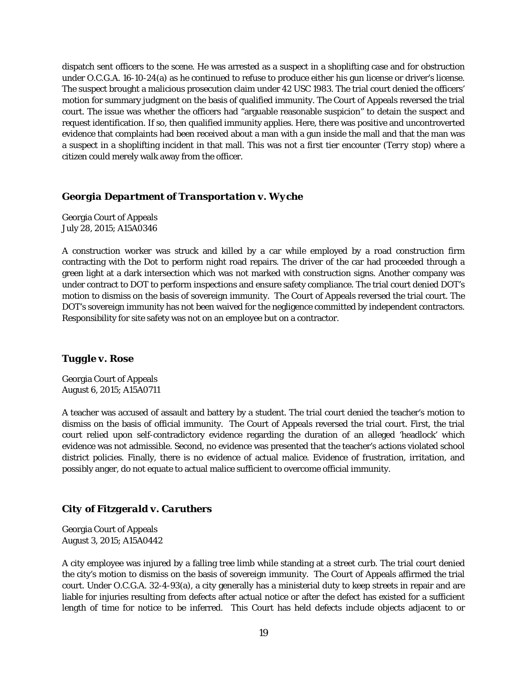dispatch sent officers to the scene. He was arrested as a suspect in a shoplifting case and for obstruction under O.C.G.A. 16-10-24(a) as he continued to refuse to produce either his gun license or driver's license. The suspect brought a malicious prosecution claim under 42 USC 1983. The trial court denied the officers' motion for summary judgment on the basis of qualified immunity. The Court of Appeals reversed the trial court. The issue was whether the officers had "arguable reasonable suspicion" to detain the suspect and request identification. If so, then qualified immunity applies. Here, there was positive and uncontroverted evidence that complaints had been received about a man with a gun inside the mall and that the man was a suspect in a shoplifting incident in that mall. This was not a first tier encounter (*Terry* stop) where a citizen could merely walk away from the officer.

#### *Georgia Department of Transportation v. Wyche*

Georgia Court of Appeals July 28, 2015; A15A0346

A construction worker was struck and killed by a car while employed by a road construction firm contracting with the Dot to perform night road repairs. The driver of the car had proceeded through a green light at a dark intersection which was not marked with construction signs. Another company was under contract to DOT to perform inspections and ensure safety compliance. The trial court denied DOT's motion to dismiss on the basis of sovereign immunity. The Court of Appeals reversed the trial court. The DOT's sovereign immunity has not been waived for the negligence committed by independent contractors. Responsibility for site safety was not on an employee but on a contractor.

#### *Tuggle v. Rose*

Georgia Court of Appeals August 6, 2015; A15A0711

A teacher was accused of assault and battery by a student. The trial court denied the teacher's motion to dismiss on the basis of official immunity. The Court of Appeals reversed the trial court. First, the trial court relied upon self-contradictory evidence regarding the duration of an alleged 'headlock' which evidence was not admissible. Second, no evidence was presented that the teacher's actions violated school district policies. Finally, there is no evidence of actual malice. Evidence of frustration, irritation, and possibly anger, do not equate to actual malice sufficient to overcome official immunity.

#### *City of Fitzgerald v. Caruthers*

Georgia Court of Appeals August 3, 2015; A15A0442

A city employee was injured by a falling tree limb while standing at a street curb. The trial court denied the city's motion to dismiss on the basis of sovereign immunity. The Court of Appeals affirmed the trial court. Under O.C.G.A. 32-4-93(a), a city generally has a ministerial duty to keep streets in repair and are liable for injuries resulting from defects after actual notice or after the defect has existed for a sufficient length of time for notice to be inferred. This Court has held defects include objects adjacent to or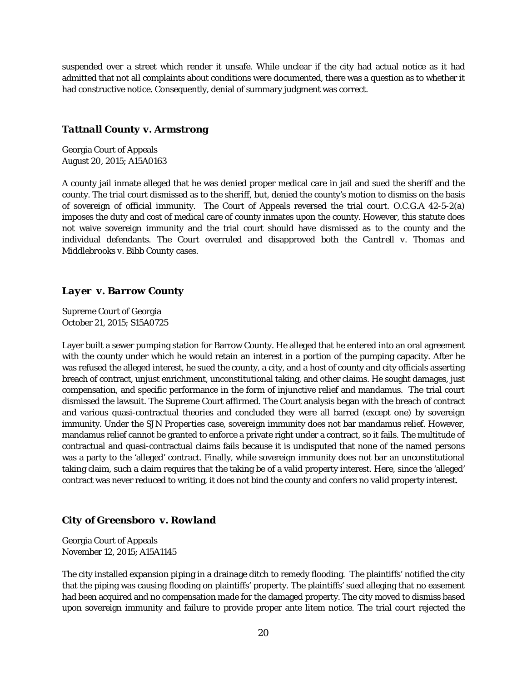suspended over a street which render it unsafe. While unclear if the city had actual notice as it had admitted that not all complaints about conditions were documented, there was a question as to whether it had constructive notice. Consequently, denial of summary judgment was correct.

#### *Tattnall County v. Armstrong*

Georgia Court of Appeals August 20, 2015; A15A0163

A county jail inmate alleged that he was denied proper medical care in jail and sued the sheriff and the county. The trial court dismissed as to the sheriff, but, denied the county's motion to dismiss on the basis of sovereign of official immunity. The Court of Appeals reversed the trial court. O.C.G.A 42-5-2(a) imposes the duty and cost of medical care of county inmates upon the county. However, this statute does not waive sovereign immunity and the trial court should have dismissed as to the county and the individual defendants. The Court overruled and disapproved both the *Cantrell v. Thomas* and *Middlebrooks v. Bibb County* cases.

#### *Layer v. Barrow County*

Supreme Court of Georgia October 21, 2015; S15A0725

Layer built a sewer pumping station for Barrow County. He alleged that he entered into an oral agreement with the county under which he would retain an interest in a portion of the pumping capacity. After he was refused the alleged interest, he sued the county, a city, and a host of county and city officials asserting breach of contract, unjust enrichment, unconstitutional taking, and other claims. He sought damages, just compensation, and specific performance in the form of injunctive relief and mandamus. The trial court dismissed the lawsuit. The Supreme Court affirmed. The Court analysis began with the breach of contract and various quasi-contractual theories and concluded they were all barred (except one) by sovereign immunity. Under the *SJN Properties* case, sovereign immunity does not bar mandamus relief. However, mandamus relief cannot be granted to enforce a private right under a contract, so it fails. The multitude of contractual and quasi-contractual claims fails because it is undisputed that none of the named persons was a party to the 'alleged' contract. Finally, while sovereign immunity does not bar an unconstitutional taking claim, such a claim requires that the taking be of a valid property interest. Here, since the 'alleged' contract was never reduced to writing, it does not bind the county and confers no valid property interest.

#### *City of Greensboro v. Rowland*

Georgia Court of Appeals November 12, 2015; A15A1145

The city installed expansion piping in a drainage ditch to remedy flooding. The plaintiffs' notified the city that the piping was causing flooding on plaintiffs' property. The plaintiffs' sued alleging that no easement had been acquired and no compensation made for the damaged property. The city moved to dismiss based upon sovereign immunity and failure to provide proper ante litem notice. The trial court rejected the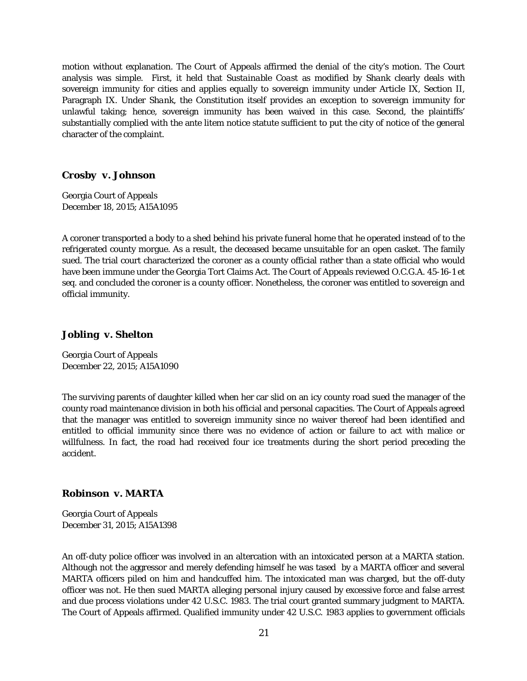motion without explanation. The Court of Appeals affirmed the denial of the city's motion. The Court analysis was simple. First, it held that *Sustainable Coast* as modified by *Shank* clearly deals with sovereign immunity for cities and applies equally to sovereign immunity under Article IX, Section II, Paragraph IX. Under *Shank*, the Constitution itself provides an exception to sovereign immunity for unlawful taking; hence, sovereign immunity has been waived in this case. Second, the plaintiffs' substantially complied with the ante litem notice statute sufficient to put the city of notice of the general character of the complaint.

#### *Crosby v. Johnson*

Georgia Court of Appeals December 18, 2015; A15A1095

A coroner transported a body to a shed behind his private funeral home that he operated instead of to the refrigerated county morgue. As a result, the deceased became unsuitable for an open casket. The family sued. The trial court characterized the coroner as a county official rather than a state official who would have been immune under the Georgia Tort Claims Act. The Court of Appeals reviewed O.C.G.A. 45-16-1 *et seq.* and concluded the coroner is a county officer. Nonetheless, the coroner was entitled to sovereign and official immunity.

#### *Jobling v. Shelton*

Georgia Court of Appeals December 22, 2015; A15A1090

The surviving parents of daughter killed when her car slid on an icy county road sued the manager of the county road maintenance division in both his official and personal capacities. The Court of Appeals agreed that the manager was entitled to sovereign immunity since no waiver thereof had been identified and entitled to official immunity since there was no evidence of action or failure to act with malice or willfulness. In fact, the road had received four ice treatments during the short period preceding the accident.

#### *Robinson v. MARTA*

Georgia Court of Appeals December 31, 2015; A15A1398

An off-duty police officer was involved in an altercation with an intoxicated person at a MARTA station. Although not the aggressor and merely defending himself he was tased by a MARTA officer and several MARTA officers piled on him and handcuffed him. The intoxicated man was charged, but the off-duty officer was not. He then sued MARTA alleging personal injury caused by excessive force and false arrest and due process violations under 42 U.S.C. 1983. The trial court granted summary judgment to MARTA. The Court of Appeals affirmed. Qualified immunity under 42 U.S.C. 1983 applies to government officials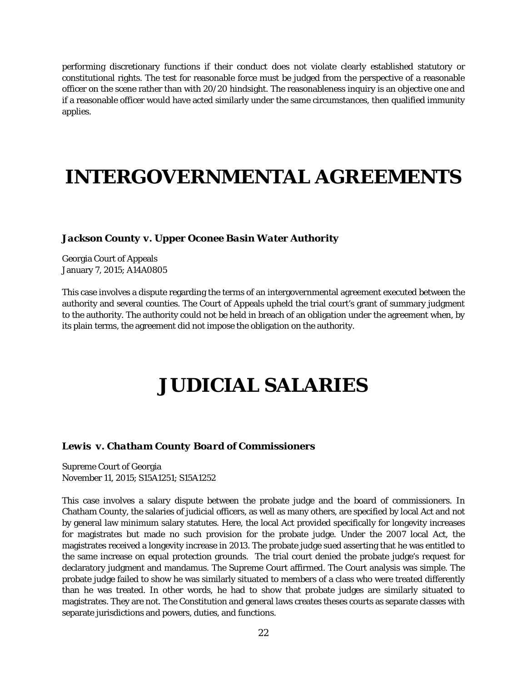performing discretionary functions if their conduct does not violate clearly established statutory or constitutional rights. The test for reasonable force must be judged from the perspective of a reasonable officer on the scene rather than with 20/20 hindsight. The reasonableness inquiry is an objective one and if a reasonable officer would have acted similarly under the same circumstances, then qualified immunity applies.

### **INTERGOVERNMENTAL AGREEMENTS**

#### *Jackson County v. Upper Oconee Basin Water Authority*

Georgia Court of Appeals January 7, 2015; A14A0805

This case involves a dispute regarding the terms of an intergovernmental agreement executed between the authority and several counties. The Court of Appeals upheld the trial court's grant of summary judgment to the authority. The authority could not be held in breach of an obligation under the agreement when, by its plain terms, the agreement did not impose the obligation on the authority.

### **JUDICIAL SALARIES**

#### *Lewis v. Chatham County Board of Commissioners*

Supreme Court of Georgia November 11, 2015; S15A1251; S15A1252

This case involves a salary dispute between the probate judge and the board of commissioners. In Chatham County, the salaries of judicial officers, as well as many others, are specified by local Act and not by general law minimum salary statutes. Here, the local Act provided specifically for longevity increases for magistrates but made no such provision for the probate judge. Under the 2007 local Act, the magistrates received a longevity increase in 2013. The probate judge sued asserting that he was entitled to the same increase on equal protection grounds. The trial court denied the probate judge's request for declaratory judgment and mandamus. The Supreme Court affirmed. The Court analysis was simple. The probate judge failed to show he was similarly situated to members of a class who were treated differently than he was treated. In other words, he had to show that probate judges are similarly situated to magistrates. They are not. The Constitution and general laws creates theses courts as separate classes with separate jurisdictions and powers, duties, and functions.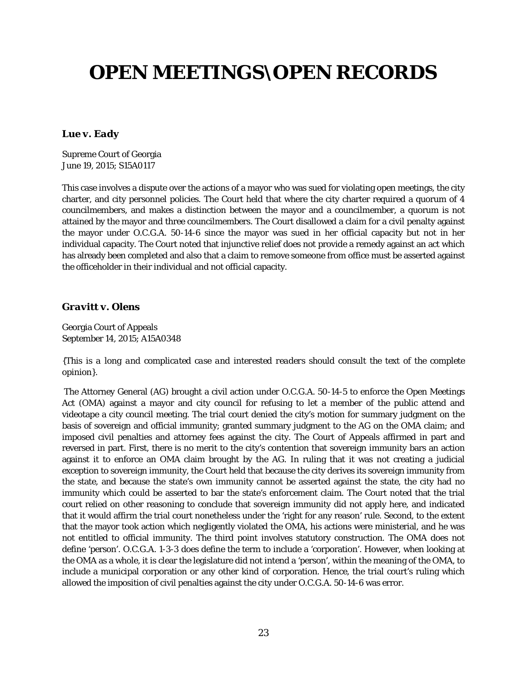# **OPEN MEETINGS\OPEN RECORDS**

#### *Lue v. Eady*

Supreme Court of Georgia June 19, 2015; S15A0117

This case involves a dispute over the actions of a mayor who was sued for violating open meetings, the city charter, and city personnel policies. The Court held that where the city charter required a quorum of 4 councilmembers, and makes a distinction between the mayor and a councilmember, a quorum is not attained by the mayor and three councilmembers. The Court disallowed a claim for a civil penalty against the mayor under O.C.G.A. 50-14-6 since the mayor was sued in her official capacity but not in her individual capacity. The Court noted that injunctive relief does not provide a remedy against an act which has already been completed and also that a claim to remove someone from office must be asserted against the officeholder in their individual and not official capacity.

#### *Gravitt v. Olens*

Georgia Court of Appeals September 14, 2015; A15A0348

*{This is a long and complicated case and interested readers should consult the text of the complete opinion}*.

The Attorney General (AG) brought a civil action under O.C.G.A. 50-14-5 to enforce the Open Meetings Act (OMA) against a mayor and city council for refusing to let a member of the public attend and videotape a city council meeting. The trial court denied the city's motion for summary judgment on the basis of sovereign and official immunity; granted summary judgment to the AG on the OMA claim; and imposed civil penalties and attorney fees against the city. The Court of Appeals affirmed in part and reversed in part. First, there is no merit to the city's contention that sovereign immunity bars an action against it to enforce an OMA claim brought by the AG. In ruling that it was not creating a judicial exception to sovereign immunity, the Court held that because the city derives its sovereign immunity from the state, and because the state's own immunity cannot be asserted against the state, the city had no immunity which could be asserted to bar the state's enforcement claim. The Court noted that the trial court relied on other reasoning to conclude that sovereign immunity did not apply here, and indicated that it would affirm the trial court nonetheless under the 'right for any reason' rule. Second, to the extent that the mayor took action which negligently violated the OMA, his actions were ministerial, and he was not entitled to official immunity. The third point involves statutory construction. The OMA does not define 'person'. O.C.G.A. 1-3-3 does define the term to include a 'corporation'. However, when looking at the OMA as a whole, it is clear the legislature did not intend a 'person', within the meaning of the OMA, to include a municipal corporation or any other kind of corporation. Hence, the trial court's ruling which allowed the imposition of civil penalties against the city under O.C.G.A. 50-14-6 was error.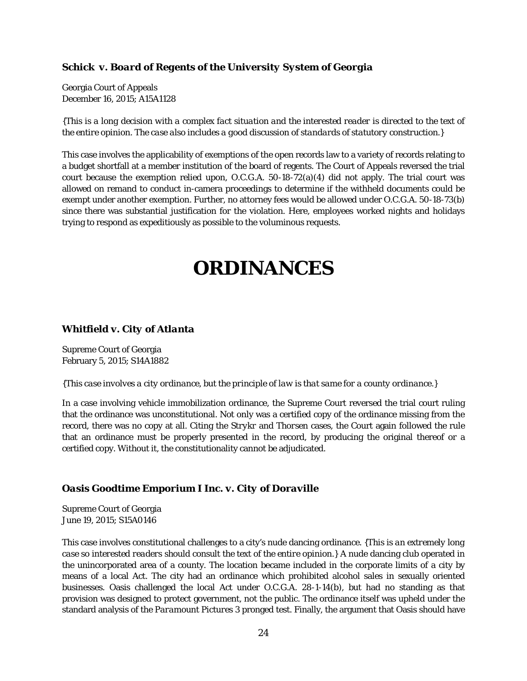#### *Schick v. Board of Regents of the University System of Georgia*

Georgia Court of Appeals December 16, 2015; A15A1128

*{This is a long decision with a complex fact situation and the interested reader is directed to the text of the entire opinion. The case also includes a good discussion of standards of statutory construction.}*

This case involves the applicability of exemptions of the open records law to a variety of records relating to a budget shortfall at a member institution of the board of regents. The Court of Appeals reversed the trial court because the exemption relied upon, O.C.G.A. 50-18-72(a)(4) did not apply. The trial court was allowed on remand to conduct in-camera proceedings to determine if the withheld documents could be exempt under another exemption. Further, no attorney fees would be allowed under O.C.G.A. 50-18-73(b) since there was substantial justification for the violation. Here, employees worked nights and holidays trying to respond as expeditiously as possible to the voluminous requests.

### **ORDINANCES**

#### *Whitfield v. City of Atlanta*

Supreme Court of Georgia February 5, 2015; S14A1882

#### *{This case involves a city ordinance, but the principle of law is that same for a county ordinance.}*

In a case involving vehicle immobilization ordinance, the Supreme Court reversed the trial court ruling that the ordinance was unconstitutional. Not only was a certified copy of the ordinance missing from the record, there was no copy at all. Citing the *Strykr* and *Thorsen* cases, the Court again followed the rule that an ordinance must be properly presented in the record, by producing the original thereof or a certified copy. Without it, the constitutionality cannot be adjudicated.

#### *Oasis Goodtime Emporium I Inc. v. City of Doraville*

Supreme Court of Georgia June 19, 2015; S15A0146

This case involves constitutional challenges to a city's nude dancing ordinance. *{This is an extremely long case so interested readers should consult the text of the entire opinion.}* A nude dancing club operated in the unincorporated area of a county. The location became included in the corporate limits of a city by means of a local Act. The city had an ordinance which prohibited alcohol sales in sexually oriented businesses. Oasis challenged the local Act under O.C.G.A. 28-1-14(b), but had no standing as that provision was designed to protect government, not the public. The ordinance itself was upheld under the standard analysis of the *Paramount Pictures* 3 pronged test. Finally, the argument that Oasis should have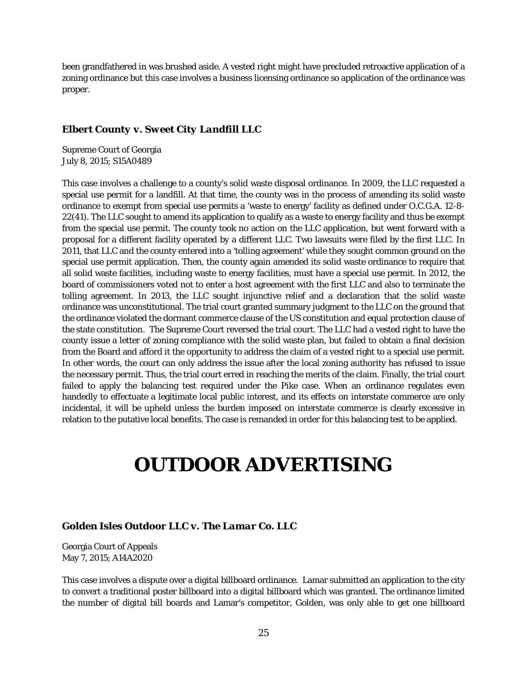been grandfathered in was brushed aside. A vested right might have precluded retroactive application of a zoning ordinance but this case involves a business licensing ordinance so application of the ordinance was proper.

#### *Elbert County v. Sweet City Landfill LLC*

Supreme Court of Georgia July 8, 2015; S15A0489

This case involves a challenge to a county's solid waste disposal ordinance. In 2009, the LLC requested a special use permit for a landfill. At that time, the county was in the process of amending its solid waste ordinance to exempt from special use permits a 'waste to energy' facility as defined under O.C.G.A. 12-8- 22(41). The LLC sought to amend its application to qualify as a waste to energy facility and thus be exempt from the special use permit. The county took no action on the LLC application, but went forward with a proposal for a different facility operated by a different LLC. Two lawsuits were filed by the first LLC. In 2011, that LLC and the county entered into a 'tolling agreement' while they sought common ground on the special use permit application. Then, the county again amended its solid waste ordinance to require that all solid waste facilities, including waste to energy facilities, must have a special use permit. In 2012, the board of commissioners voted not to enter a host agreement with the first LLC and also to terminate the tolling agreement. In 2013, the LLC sought injunctive relief and a declaration that the solid waste ordinance was unconstitutional. The trial court granted summary judgment to the LLC on the ground that the ordinance violated the dormant commerce clause of the US constitution and equal protection clause of the state constitution. The Supreme Court reversed the trial court. The LLC had a vested right to have the county issue a letter of zoning compliance with the solid waste plan, but failed to obtain a final decision from the Board and afford it the opportunity to address the claim of a vested right to a special use permit. In other words, the court can only address the issue after the local zoning authority has refused to issue the necessary permit. Thus, the trial court erred in reaching the merits of the claim. Finally, the trial court failed to apply the balancing test required under the *Pike* case. When an ordinance regulates even handedly to effectuate a legitimate local public interest, and its effects on interstate commerce are only incidental, it will be upheld unless the burden imposed on interstate commerce is clearly excessive in relation to the putative local benefits. The case is remanded in order for this balancing test to be applied.

# **OUTDOOR ADVERTISING**

#### *Golden Isles Outdoor LLC v. The Lamar Co. LLC*

Georgia Court of Appeals May 7, 2015; A14A2020

This case involves a dispute over a digital billboard ordinance. Lamar submitted an application to the city to convert a traditional poster billboard into a digital billboard which was granted. The ordinance limited the number of digital bill boards and Lamar's competitor, Golden, was only able to get one billboard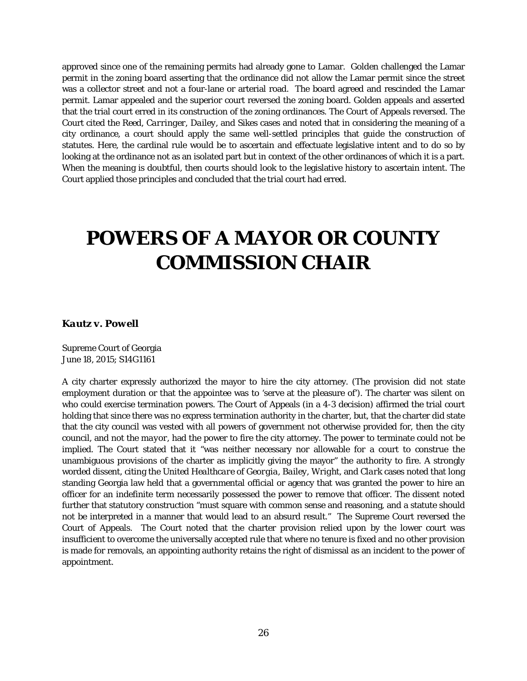approved since one of the remaining permits had already gone to Lamar. Golden challenged the Lamar permit in the zoning board asserting that the ordinance did not allow the Lamar permit since the street was a collector street and not a four-lane or arterial road. The board agreed and rescinded the Lamar permit. Lamar appealed and the superior court reversed the zoning board. Golden appeals and asserted that the trial court erred in its construction of the zoning ordinances. The Court of Appeals reversed. The Court cited the *Reed*, *Carringer*, *Dailey*, and *Sikes* cases and noted that in considering the meaning of a city ordinance, a court should apply the same well-settled principles that guide the construction of statutes. Here, the cardinal rule would be to ascertain and effectuate legislative intent and to do so by looking at the ordinance not as an isolated part but in context of the other ordinances of which it is a part. When the meaning is doubtful, then courts should look to the legislative history to ascertain intent. The Court applied those principles and concluded that the trial court had erred.

# **POWERS OF A MAYOR OR COUNTY COMMISSION CHAIR**

#### *Kautz v. Powell*

Supreme Court of Georgia June 18, 2015; S14G1161

A city charter expressly authorized the mayor to hire the city attorney. (The provision did not state employment duration or that the appointee was to 'serve at the pleasure of'). The charter was silent on who could exercise termination powers. The Court of Appeals (in a 4-3 decision) affirmed the trial court holding that since there was no express termination authority in the charter, but, that the charter did state that the city council was vested with all powers of government not otherwise provided for, then the city council, and *not the mayor*, had the power to fire the city attorney. The power to terminate could not be implied. The Court stated that it "was neither necessary nor allowable for a court to construe the unambiguous provisions of the charter as implicitly giving the mayor" the authority to fire. A strongly worded dissent, citing the *United Healthcare of Georgia*, *Bailey, Wright,* and *Clark* cases noted that long standing Georgia law held that a governmental official or agency that was granted the power to hire an officer for an indefinite term necessarily possessed the power to remove that officer. The dissent noted further that statutory construction "must square with common sense and reasoning, and a statute should not be interpreted in a manner that would lead to an absurd result." The Supreme Court reversed the Court of Appeals. The Court noted that the charter provision relied upon by the lower court was insufficient to overcome the universally accepted rule that where no tenure is fixed and no other provision is made for removals, an appointing authority retains the right of dismissal as an incident to the power of appointment.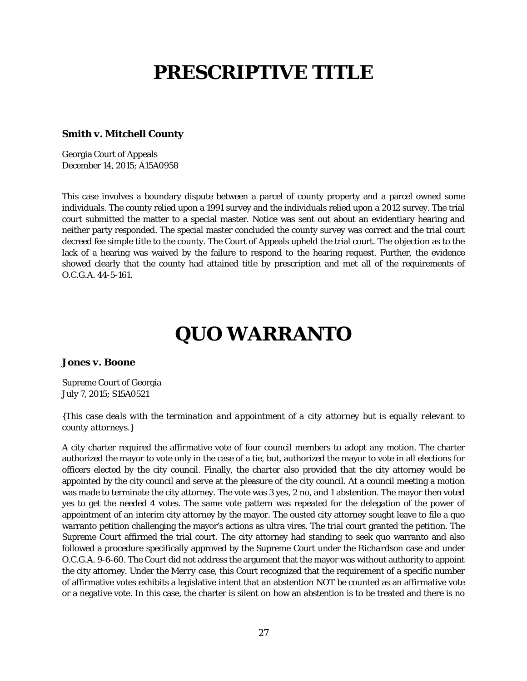# **PRESCRIPTIVE TITLE**

#### *Smith v. Mitchell County*

Georgia Court of Appeals December 14, 2015; A15A0958

This case involves a boundary dispute between a parcel of county property and a parcel owned some individuals. The county relied upon a 1991 survey and the individuals relied upon a 2012 survey. The trial court submitted the matter to a special master. Notice was sent out about an evidentiary hearing and neither party responded. The special master concluded the county survey was correct and the trial court decreed fee simple title to the county. The Court of Appeals upheld the trial court. The objection as to the lack of a hearing was waived by the failure to respond to the hearing request. Further, the evidence showed clearly that the county had attained title by prescription and met all of the requirements of O.C.G.A. 44-5-161.

# **QUO WARRANTO**

#### *Jones v. Boone*

Supreme Court of Georgia July 7, 2015; S15A0521

#### *{This case deals with the termination and appointment of a city attorney but is equally relevant to county attorneys.}*

A city charter required the affirmative vote of four council members to adopt any motion. The charter authorized the mayor to vote only in the case of a tie, but, authorized the mayor to vote in all elections for officers elected by the city council. Finally, the charter also provided that the city attorney would be appointed by the city council and serve at the pleasure of the city council. At a council meeting a motion was made to terminate the city attorney. The vote was 3 yes, 2 no, and 1 abstention. The mayor then voted yes to get the needed 4 votes. The same vote pattern was repeated for the delegation of the power of appointment of an interim city attorney by the mayor. The ousted city attorney sought leave to file a quo warranto petition challenging the mayor's actions as ultra vires. The trial court granted the petition. The Supreme Court affirmed the trial court. The city attorney had standing to seek quo warranto and also followed a procedure specifically approved by the Supreme Court under the *Richardson* case and under O.C.G.A. 9-6-60. The Court did not address the argument that the mayor was without authority to appoint the city attorney. Under the *Merry* case, this Court recognized that the requirement of a specific number of affirmative votes exhibits a legislative intent that an abstention NOT be counted as an affirmative vote or a negative vote. In this case, the charter is silent on how an abstention is to be treated and there is no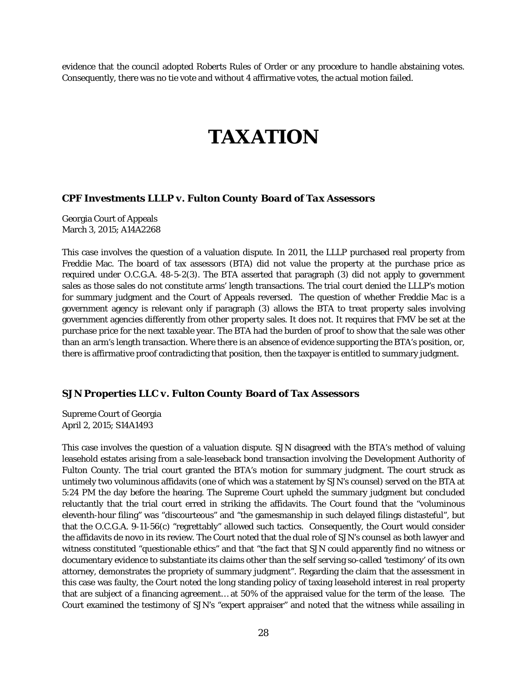evidence that the council adopted Roberts Rules of Order or any procedure to handle abstaining votes. Consequently, there was no tie vote and without 4 affirmative votes, the actual motion failed.

### **TAXATION**

#### *CPF Investments LLLP v. Fulton County Board of Tax Assessors*

Georgia Court of Appeals March 3, 2015; A14A2268

This case involves the question of a valuation dispute. In 2011, the LLLP purchased real property from Freddie Mac. The board of tax assessors (BTA) did not value the property at the purchase price as required under O.C.G.A. 48-5-2(3). The BTA asserted that paragraph (3) did not apply to government sales as those sales do not constitute arms' length transactions. The trial court denied the LLLP's motion for summary judgment and the Court of Appeals reversed. The question of whether Freddie Mac is a government agency is relevant only if paragraph (3) allows the BTA to treat property sales involving government agencies differently from other property sales. It does not. It requires that FMV be set at the purchase price for the next taxable year. The BTA had the burden of proof to show that the sale was other than an arm's length transaction. Where there is an absence of evidence supporting the BTA's position, or, there is affirmative proof contradicting that position, then the taxpayer is entitled to summary judgment.

#### *SJN Properties LLC v. Fulton County Board of Tax Assessors*

Supreme Court of Georgia April 2, 2015; S14A1493

This case involves the question of a valuation dispute. SJN disagreed with the BTA's method of valuing leasehold estates arising from a sale-leaseback bond transaction involving the Development Authority of Fulton County. The trial court granted the BTA's motion for summary judgment. The court struck as untimely two voluminous affidavits (one of which was a statement by SJN's counsel) served on the BTA at 5:24 PM the day before the hearing. The Supreme Court upheld the summary judgment but concluded reluctantly that the trial court erred in striking the affidavits. The Court found that the "voluminous eleventh-hour filing" was "discourteous" and "the gamesmanship in such delayed filings distasteful", but that the O.C.G.A. 9-11-56(c) "regrettably" allowed such tactics. Consequently, the Court would consider the affidavits de novo in its review. The Court noted that the dual role of SJN's counsel as both lawyer and witness constituted "questionable ethics" and that "the fact that SJN could apparently find no witness or documentary evidence to substantiate its claims other than the self serving so-called 'testimony' of its own attorney, demonstrates the propriety of summary judgment". Regarding the claim that the assessment in this case was faulty, the Court noted the long standing policy of taxing leasehold interest in real property that are subject of a financing agreement… at 50% of the appraised value for the term of the lease. The Court examined the testimony of SJN's "expert appraiser" and noted that the witness while assailing in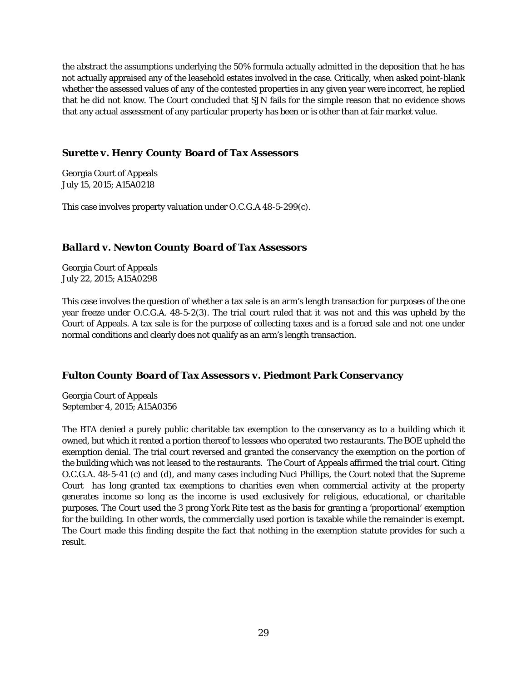the abstract the assumptions underlying the 50% formula actually admitted in the deposition that he has not actually appraised any of the leasehold estates involved in the case. Critically, when asked point-blank whether the assessed values of any of the contested properties in any given year were incorrect, he replied that he did not know. The Court concluded that SJN fails for the simple reason that no evidence shows that any actual assessment of any particular property has been or is other than at fair market value.

#### *Surette v. Henry County Board of Tax Assessors*

Georgia Court of Appeals July 15, 2015; A15A0218

This case involves property valuation under O.C.G.A 48-5-299(c).

#### *Ballard v. Newton County Board of Tax Assessors*

Georgia Court of Appeals July 22, 2015; A15A0298

This case involves the question of whether a tax sale is an arm's length transaction for purposes of the one year freeze under O.C.G.A. 48-5-2(3). The trial court ruled that it was not and this was upheld by the Court of Appeals. A tax sale is for the purpose of collecting taxes and is a forced sale and not one under normal conditions and clearly does not qualify as an arm's length transaction.

#### *Fulton County Board of Tax Assessors v. Piedmont Park Conservancy*

Georgia Court of Appeals September 4, 2015; A15A0356

The BTA denied a purely public charitable tax exemption to the conservancy as to a building which it owned, but which it rented a portion thereof to lessees who operated two restaurants. The BOE upheld the exemption denial. The trial court reversed and granted the conservancy the exemption on the portion of the building which was not leased to the restaurants. The Court of Appeals affirmed the trial court. Citing O.C.G.A. 48-5-41 (c) and (d), and many cases including *Nuci Phillips*, the Court noted that the Supreme Court has long granted tax exemptions to charities even when commercial activity at the property generates income so long as the income is used exclusively for religious, educational, or charitable purposes. The Court used the 3 prong *York Rite* test as the basis for granting a 'proportional' exemption for the building. In other words, the commercially used portion is taxable while the remainder is exempt. The Court made this finding despite the fact that nothing in the exemption statute provides for such a result.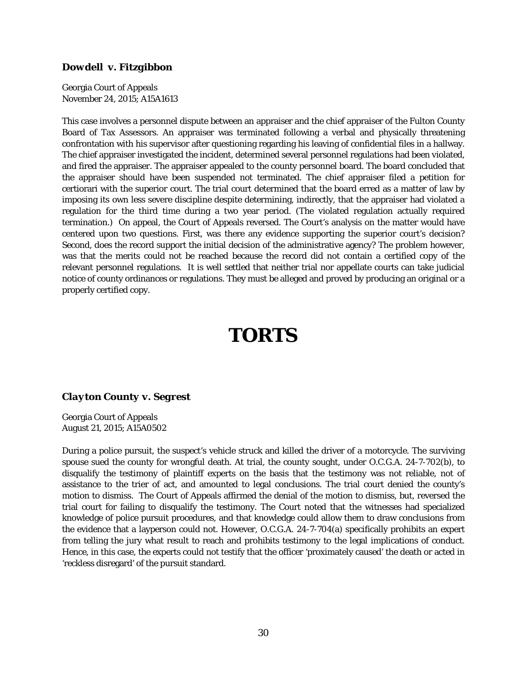#### *Dowdell v. Fitzgibbon*

Georgia Court of Appeals November 24, 2015; A15A1613

This case involves a personnel dispute between an appraiser and the chief appraiser of the Fulton County Board of Tax Assessors. An appraiser was terminated following a verbal and physically threatening confrontation with his supervisor after questioning regarding his leaving of confidential files in a hallway. The chief appraiser investigated the incident, determined several personnel regulations had been violated, and fired the appraiser. The appraiser appealed to the county personnel board. The board concluded that the appraiser should have been suspended not terminated. The chief appraiser filed a petition for certiorari with the superior court. The trial court determined that the board erred as a matter of law by imposing its own less severe discipline despite determining, indirectly, that the appraiser had violated a regulation for the third time during a two year period. (The violated regulation actually required termination.) On appeal, the Court of Appeals reversed. The Court's analysis on the matter would have centered upon two questions. First, was there any evidence supporting the superior court's decision? Second, does the record support the initial decision of the administrative agency? The problem however, was that the merits could not be reached because the record did not contain a certified copy of the relevant personnel regulations. It is well settled that neither trial nor appellate courts can take judicial notice of county ordinances or regulations. They must be alleged and proved by producing an original or a properly certified copy.

# **TORTS**

#### *Clayton County v. Segrest*

Georgia Court of Appeals August 21, 2015; A15A0502

During a police pursuit, the suspect's vehicle struck and killed the driver of a motorcycle. The surviving spouse sued the county for wrongful death. At trial, the county sought, under O.C.G.A. 24-7-702(b), to disqualify the testimony of plaintiff experts on the basis that the testimony was not reliable, not of assistance to the trier of act, and amounted to legal conclusions. The trial court denied the county's motion to dismiss. The Court of Appeals affirmed the denial of the motion to dismiss, but, reversed the trial court for failing to disqualify the testimony. The Court noted that the witnesses had specialized knowledge of police pursuit procedures, and that knowledge could allow them to draw conclusions from the evidence that a layperson could not. However, O.C.G.A. 24-7-704(a) specifically prohibits an expert from telling the jury what result to reach and prohibits testimony to the legal implications of conduct. Hence, in this case, the experts could not testify that the officer 'proximately caused' the death or acted in 'reckless disregard' of the pursuit standard.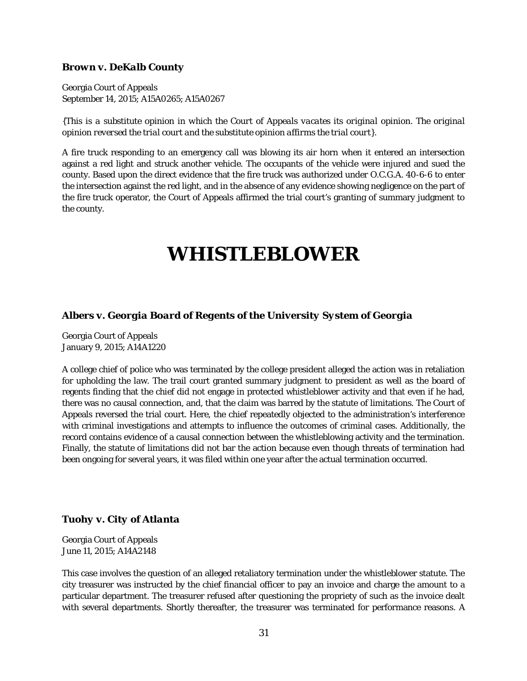#### *Brown v. DeKalb County*

Georgia Court of Appeals September 14, 2015; A15A0265; A15A0267

*{This is a substitute opinion in which the Court of Appeals vacates its original opinion. The original opinion reversed the trial court and the substitute opinion affirms the trial court}*.

A fire truck responding to an emergency call was blowing its air horn when it entered an intersection against a red light and struck another vehicle. The occupants of the vehicle were injured and sued the county. Based upon the direct evidence that the fire truck was authorized under O.C.G.A. 40-6-6 to enter the intersection against the red light, and in the absence of any evidence showing negligence on the part of the fire truck operator, the Court of Appeals affirmed the trial court's granting of summary judgment to the county.

### **WHISTLEBLOWER**

#### *Albers v. Georgia Board of Regents of the University System of Georgia*

Georgia Court of Appeals January 9, 2015; A14A1220

A college chief of police who was terminated by the college president alleged the action was in retaliation for upholding the law. The trail court granted summary judgment to president as well as the board of regents finding that the chief did not engage in protected whistleblower activity and that even if he had, there was no causal connection, and, that the claim was barred by the statute of limitations. The Court of Appeals reversed the trial court. Here, the chief repeatedly objected to the administration's interference with criminal investigations and attempts to influence the outcomes of criminal cases. Additionally, the record contains evidence of a causal connection between the whistleblowing activity and the termination. Finally, the statute of limitations did not bar the action because even though threats of termination had been ongoing for several years, it was filed within one year after the actual termination occurred.

#### *Tuohy v. City of Atlanta*

Georgia Court of Appeals June 11, 2015; A14A2148

This case involves the question of an alleged retaliatory termination under the whistleblower statute. The city treasurer was instructed by the chief financial officer to pay an invoice and charge the amount to a particular department. The treasurer refused after questioning the propriety of such as the invoice dealt with several departments. Shortly thereafter, the treasurer was terminated for performance reasons. A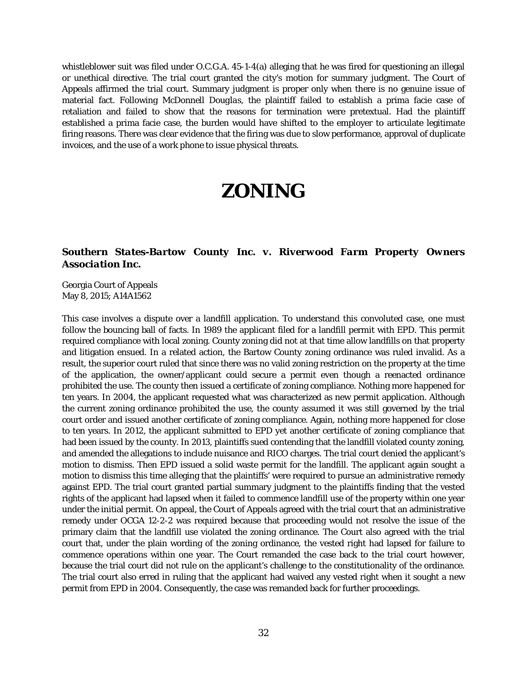whistleblower suit was filed under O.C.G.A. 45-1-4(a) alleging that he was fired for questioning an illegal or unethical directive. The trial court granted the city's motion for summary judgment. The Court of Appeals affirmed the trial court. Summary judgment is proper only when there is no genuine issue of material fact. Following *McDonnell Douglas*, the plaintiff failed to establish a prima facie case of retaliation and failed to show that the reasons for termination were pretextual. Had the plaintiff established a prima facie case, the burden would have shifted to the employer to articulate legitimate firing reasons. There was clear evidence that the firing was due to slow performance, approval of duplicate invoices, and the use of a work phone to issue physical threats.

### **ZONING**

#### *Southern States-Bartow County Inc. v. Riverwood Farm Property Owners Association Inc.*

Georgia Court of Appeals May 8, 2015; A14A1562

This case involves a dispute over a landfill application. To understand this convoluted case, one must follow the bouncing ball of facts. In 1989 the applicant filed for a landfill permit with EPD. This permit required compliance with local zoning. County zoning did not at that time allow landfills on that property and litigation ensued. In a related action, the Bartow County zoning ordinance was ruled invalid. As a result, the superior court ruled that since there was no valid zoning restriction on the property at the time of the application, the owner/applicant could secure a permit even though a reenacted ordinance prohibited the use. The county then issued a certificate of zoning compliance. Nothing more happened for ten years. In 2004, the applicant requested what was characterized as new permit application. Although the current zoning ordinance prohibited the use, the county assumed it was still governed by the trial court order and issued another certificate of zoning compliance. Again, nothing more happened for close to ten years. In 2012, the applicant submitted to EPD yet another certificate of zoning compliance that had been issued by the county. In 2013, plaintiffs sued contending that the landfill violated county zoning, and amended the allegations to include nuisance and RICO charges. The trial court denied the applicant's motion to dismiss. Then EPD issued a solid waste permit for the landfill. The applicant again sought a motion to dismiss this time alleging that the plaintiffs' were required to pursue an administrative remedy against EPD. The trial court granted partial summary judgment to the plaintiffs finding that the vested rights of the applicant had lapsed when it failed to commence landfill use of the property within one year under the initial permit. On appeal, the Court of Appeals agreed with the trial court that an administrative remedy under OCGA 12-2-2 was required because that proceeding would not resolve the issue of the primary claim that the landfill use violated the zoning ordinance. The Court also agreed with the trial court that, under the plain wording of the zoning ordinance, the vested right had lapsed for failure to commence operations within one year. The Court remanded the case back to the trial court however, because the trial court did not rule on the applicant's challenge to the constitutionality of the ordinance. The trial court also erred in ruling that the applicant had waived any vested right when it sought a new permit from EPD in 2004. Consequently, the case was remanded back for further proceedings.